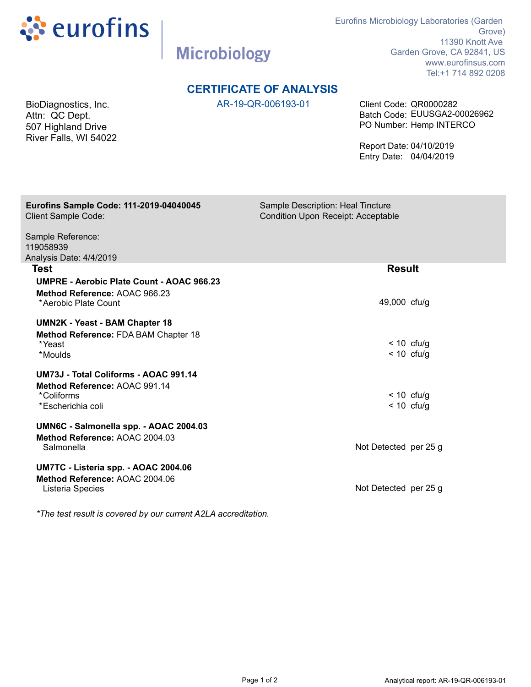

**Microbiology** 

Eurofins Microbiology Laboratories (Garden Grove) 11390 Knott Ave Garden Grove, CA 92841, US www.eurofinsus.com Tel:+1 714 892 0208

## **CERTIFICATE OF ANALYSIS**

AR-19-QR-006193-01 Client Code: QR0000282 PO Number: Hemp INTERCO Batch Code: EUUSGA2-00026962

> Report Date: 04/10/2019 Entry Date: 04/04/2019

| Sample Description: Heal Tincture                              |
|----------------------------------------------------------------|
| <b>Condition Upon Receipt: Acceptable</b>                      |
|                                                                |
|                                                                |
|                                                                |
| <b>Result</b>                                                  |
|                                                                |
|                                                                |
| 49,000 cfu/g                                                   |
|                                                                |
|                                                                |
|                                                                |
| $< 10$ cfu/g                                                   |
| $< 10$ cfu/g                                                   |
|                                                                |
|                                                                |
| $< 10$ cfu/g                                                   |
| $< 10$ cfu/g                                                   |
|                                                                |
|                                                                |
| Not Detected per 25 g                                          |
|                                                                |
|                                                                |
| Not Detected per 25 g                                          |
|                                                                |
| *The test result is covered by our current A2LA accreditation. |
|                                                                |

Page 1 of 2 Analytical report: AR-19-QR-006193-01

BioDiagnostics, Inc. Attn: QC Dept. 507 Highland Drive River Falls, WI 54022